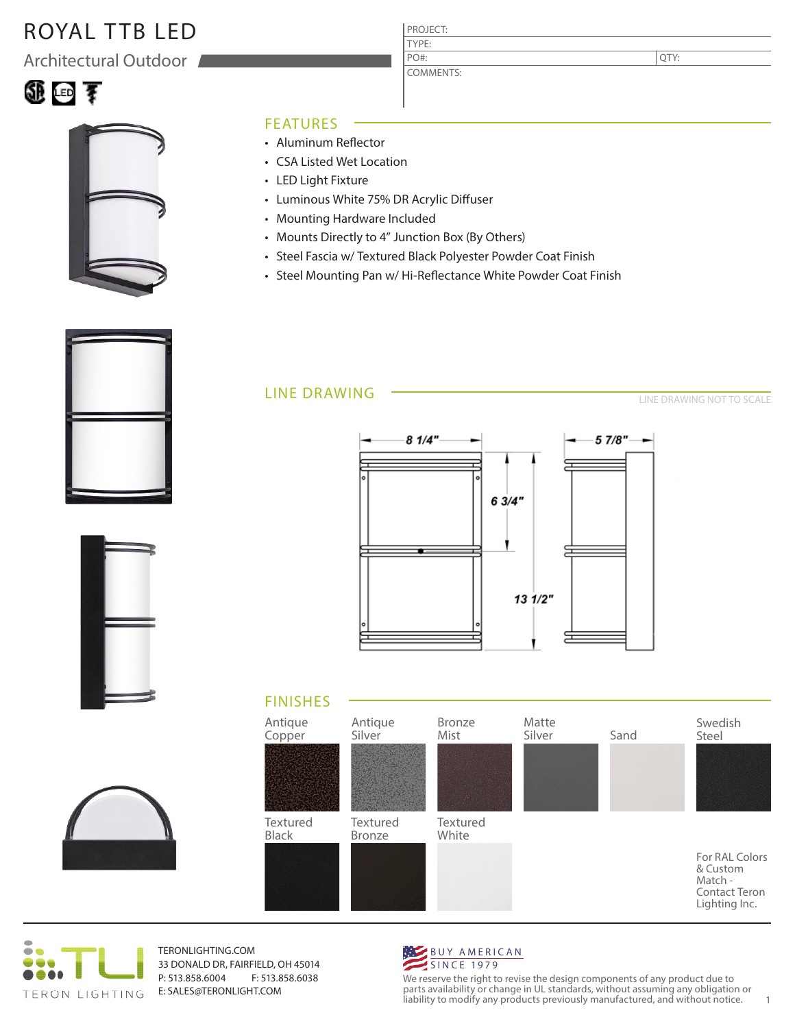## ROYAL TTB LED

Architectural Outdoor





### FEATURES

- Aluminum Reflector
- CSA Listed Wet Location
- LED Light Fixture
- Luminous White 75% DR Acrylic Diffuser
- Mounting Hardware Included
- Mounts Directly to 4" Junction Box (By Others)
- Steel Fascia w/ Textured Black Polyester Powder Coat Finish

PROJECT: TYPE:

PO#:

COMMENTS:

• Steel Mounting Pan w/ Hi-Reflectance White Powder Coat Finish

### LINE DRAWING

LINE DRAWING NOT TO SCALE

QTY:













TERONLIGHTING.COM 33 DONALD DR, FAIRFIELD, OH 45014 P: 513.858.6004 F: 513.858.6038 E: SALES@TERONLIGHT.COM



We reserve the right to revise the design components of any product due to parts availability or change in UL standards, without assuming any obligation or liability to modify any products previously manufactured, and without notice. 1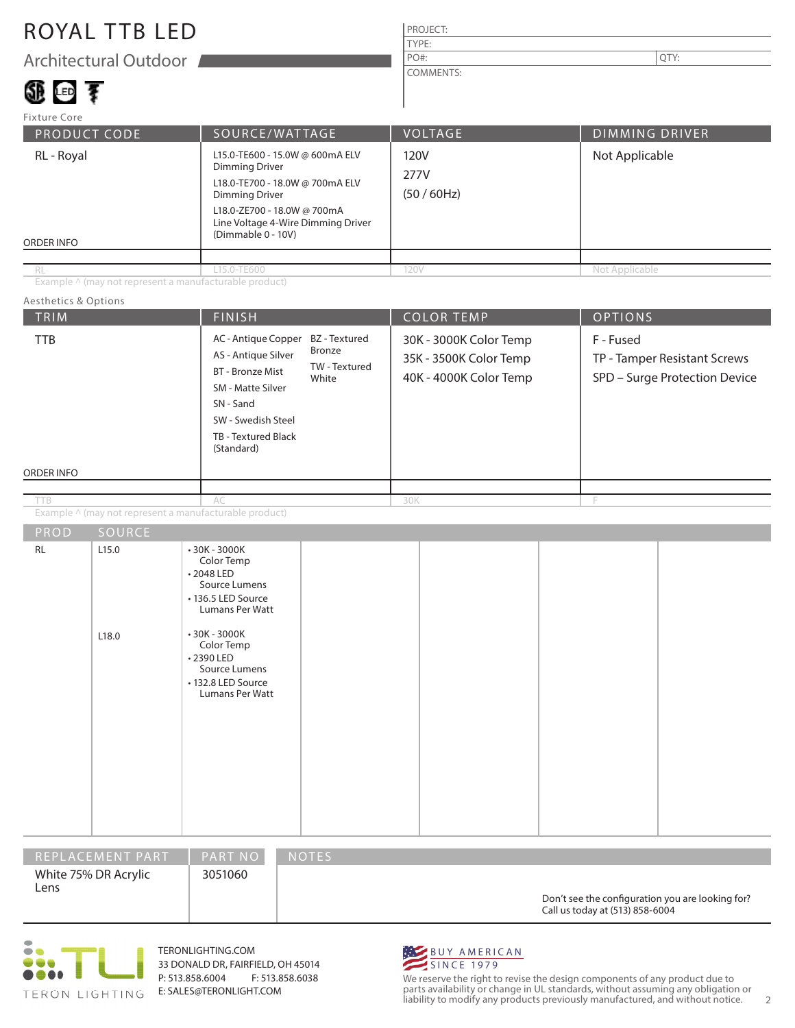## ROYAL TTB LED

Architectural Outdoor

# 450 150 享

#### PROJECT: TYPE: COMMENTS: PO#:  $\vert$  QTY:

| Fixture Core                                                                                                                                                                                                                         |                |                                |                       |  |  |
|--------------------------------------------------------------------------------------------------------------------------------------------------------------------------------------------------------------------------------------|----------------|--------------------------------|-----------------------|--|--|
| <b>PRODUCT CODE</b>                                                                                                                                                                                                                  | SOURCE/WATTAGE | <b>VOLTAGE</b>                 | <b>DIMMING DRIVER</b> |  |  |
| L15.0-TE600 - 15.0W @ 600mA ELV<br>RL - Royal<br>Dimming Driver<br>L18.0-TE700 - 18.0W @ 700mA ELV<br><b>Dimming Driver</b><br>L18.0-ZE700 - 18.0W @ 700mA<br>Line Voltage 4-Wire Dimming Driver<br>(Dimmable 0 - 10V)<br>ORDER INFO |                | 120V<br>277V<br>$(50 / 60$ Hz) | Not Applicable        |  |  |
|                                                                                                                                                                                                                                      |                |                                |                       |  |  |
| RL                                                                                                                                                                                                                                   | L15.0-TE600    | 120V                           | Not Applicable        |  |  |

Example ^ (may not represent a manufacturable product)

#### TRIM  $\begin{array}{|c|c|c|c|c|c|}\hline \text{FINISH} & \text{COLOR TEMP} & \text{OPTIONS} \ \hline \end{array}$ ORDER INFO Aesthetics & Options Example ^ (may not represent a manufacturable product) 30K - 3000K Color Temp 35K - 3500K Color Temp 40K - 4000K Color Temp F - Fused TP - Tamper Resistant Screws SPD – Surge Protection Device AC - Antique Copper BZ - Textured AS - Antique Silver BT - Bronze Mist SM - Matte Silver SN - Sand SW - Swedish Steel TB - Textured Black (Standard) AC 30K F RL 2.15.0 L18.0 • 30K - 3000K Color Temp • 2048 LED Source Lumens • 136.5 LED Source Lumans Per Watt • 30K - 3000K Color Temp • 2390 LED Source Lumens • 132.8 LED Source Lumans Per Watt Bronze TW - Textured White TTB

| REPLACEMENT PART             | <b>PART NO</b> | <b>NOTES</b>                                                                        |
|------------------------------|----------------|-------------------------------------------------------------------------------------|
| White 75% DR Acrylic<br>Lens | 3051060        | Don't see the configuration you are looking for?<br>Call us today at (513) 858-6004 |



TERONLIGHTING.COM 33 DONALD DR, FAIRFIELD, OH 45014 P: 513.858.6004 F: 513.858.6038 E: SALES@TERONLIGHT.COM



We reserve the right to revise the design components of any product due to parts availability or change in UL standards, without assuming any obligation or liability to modify any products previously manufactured, and without notice. 2